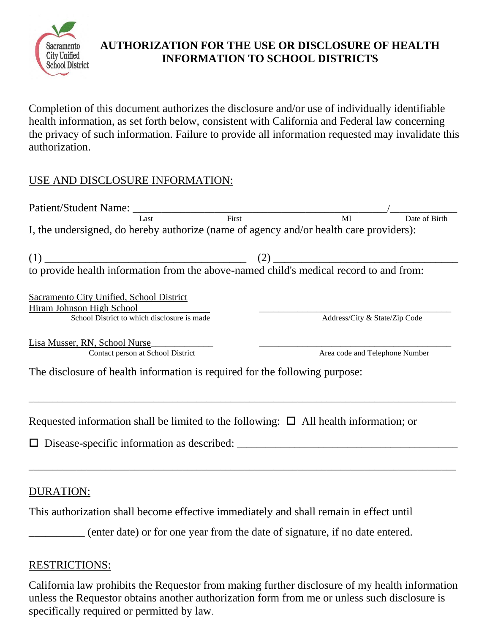

# **AUTHORIZATION FOR THE USE OR DISCLOSURE OF HEALTH INFORMATION TO SCHOOL DISTRICTS**

Completion of this document authorizes the disclosure and/or use of individually identifiable health information, as set forth below, consistent with California and Federal law concerning the privacy of such information. Failure to provide all information requested may invalidate this authorization.

# USE AND DISCLOSURE INFORMATION:

| Last<br>I, the undersigned, do hereby authorize (name of agency and/or health care providers): | First | MI                             | Date of Birth |
|------------------------------------------------------------------------------------------------|-------|--------------------------------|---------------|
|                                                                                                |       |                                |               |
| Sacramento City Unified, School District                                                       |       |                                |               |
| Hiram Johnson High School<br>School District to which disclosure is made                       |       | Address/City & State/Zip Code  |               |
| Lisa Musser, RN, School Nurse<br>Contact person at School District                             |       | Area code and Telephone Number |               |
| The disclosure of health information is required for the following purpose:                    |       |                                |               |
| Requested information shall be limited to the following: $\Box$ All health information; or     |       |                                |               |
|                                                                                                |       |                                |               |
|                                                                                                |       |                                |               |

### DURATION:

This authorization shall become effective immediately and shall remain in effect until

\_\_\_\_\_\_\_\_\_\_ (enter date) or for one year from the date of signature, if no date entered.

### RESTRICTIONS:

California law prohibits the Requestor from making further disclosure of my health information unless the Requestor obtains another authorization form from me or unless such disclosure is specifically required or permitted by law.